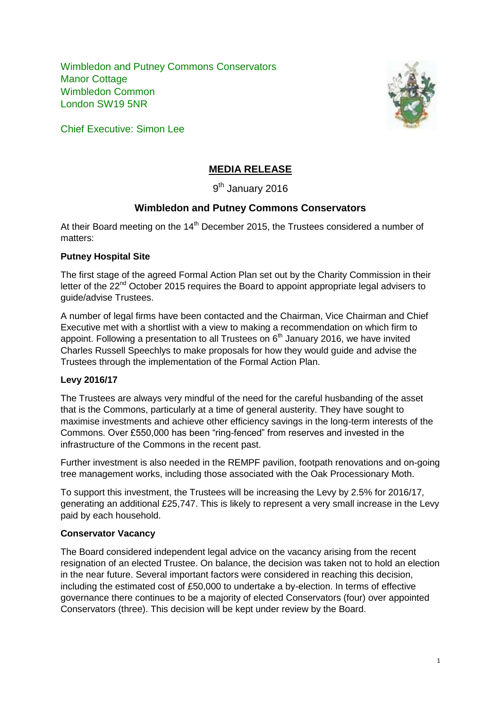Wimbledon and Putney Commons Conservators Manor Cottage Wimbledon Common London SW19 5NR



Chief Executive: Simon Lee

# **MEDIA RELEASE**

9<sup>th</sup> January 2016

# **Wimbledon and Putney Commons Conservators**

At their Board meeting on the  $14<sup>th</sup>$  December 2015, the Trustees considered a number of matters:

#### **Putney Hospital Site**

The first stage of the agreed Formal Action Plan set out by the Charity Commission in their letter of the 22<sup>nd</sup> October 2015 requires the Board to appoint appropriate legal advisers to guide/advise Trustees.

A number of legal firms have been contacted and the Chairman, Vice Chairman and Chief Executive met with a shortlist with a view to making a recommendation on which firm to appoint. Following a presentation to all Trustees on  $6<sup>th</sup>$  January 2016, we have invited Charles Russell Speechlys to make proposals for how they would guide and advise the Trustees through the implementation of the Formal Action Plan.

## **Levy 2016/17**

The Trustees are always very mindful of the need for the careful husbanding of the asset that is the Commons, particularly at a time of general austerity. They have sought to maximise investments and achieve other efficiency savings in the long-term interests of the Commons. Over £550,000 has been "ring-fenced" from reserves and invested in the infrastructure of the Commons in the recent past.

Further investment is also needed in the REMPF pavilion, footpath renovations and on-going tree management works, including those associated with the Oak Processionary Moth.

To support this investment, the Trustees will be increasing the Levy by 2.5% for 2016/17, generating an additional £25,747. This is likely to represent a very small increase in the Levy paid by each household.

## **Conservator Vacancy**

The Board considered independent legal advice on the vacancy arising from the recent resignation of an elected Trustee. On balance, the decision was taken not to hold an election in the near future. Several important factors were considered in reaching this decision, including the estimated cost of £50,000 to undertake a by-election. In terms of effective governance there continues to be a majority of elected Conservators (four) over appointed Conservators (three). This decision will be kept under review by the Board.